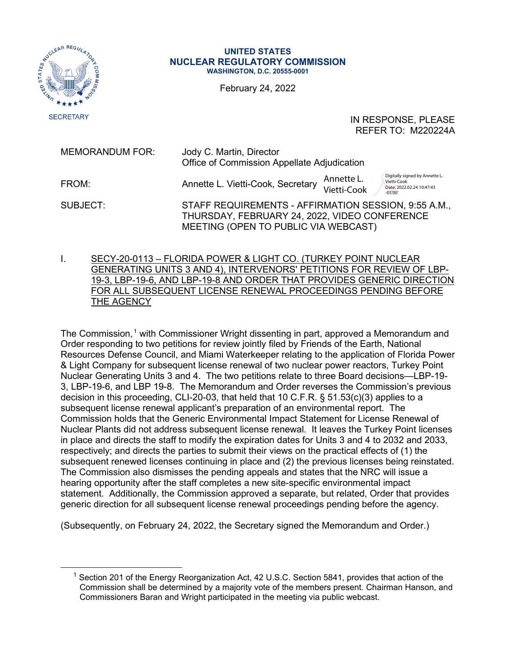

## **UNITED STATES NUCLEAR REGULATORY COMMISSION WASHINGTON, D.C. 20555-0001**

February 24, 2022

IN RESPONSE, PLEASE REFER TO: M220224A

| <b>MEMORANDUM FOR:</b> | Jody C. Martin, Director<br>Office of Commission Appellate Adjudication                                                                       |                                                                                                                      |
|------------------------|-----------------------------------------------------------------------------------------------------------------------------------------------|----------------------------------------------------------------------------------------------------------------------|
| FROM:                  | Annette L. Vietti-Cook, Secretary                                                                                                             | Digitally signed by Annette L.<br>Annette L.<br>Vietti-Cook<br>Vietti-Cook<br>Date: 2022.02.24 10:47:43<br>$-05'00'$ |
| SUBJECT:               | STAFF REQUIREMENTS - AFFIRMATION SESSION, 9:55 A.M.,<br>THURSDAY, FEBRUARY 24, 2022, VIDEO CONFERENCE<br>MEETING (OPEN TO PUBLIC VIA WEBCAST) |                                                                                                                      |

I. SECY-20-0113 – FLORIDA POWER & LIGHT CO. (TURKEY POINT NUCLEAR GENERATING UNITS 3 AND 4), INTERVENORS' PETITIONS FOR REVIEW OF LBP-19-3, LBP-19-6, AND LBP-19-8 AND ORDER THAT PROVIDES GENERIC DIRECTION FOR ALL SUBSEQUENT LICENSE RENEWAL PROCEEDINGS PENDING BEFORE THE AGENCY

The Commission,<sup>1</sup> with Commissioner Wright dissenting in part, approved a Memorandum and Order responding to two petitions for review jointly filed by Friends of the Earth, National Resources Defense Council, and Miami Waterkeeper relating to the application of Florida Power & Light Company for subsequent license renewal of two nuclear power reactors, Turkey Point Nuclear Generating Units 3 and 4. The two petitions relate to three Board decisions—LBP-19- 3, LBP-19-6, and LBP 19-8. The Memorandum and Order reverses the Commission's previous decision in this proceeding, CLI-20-03, that held that 10 C.F.R. § 51.53(c)(3) applies to a subsequent license renewal applicant's preparation of an environmental report. The Commission holds that the Generic Environmental Impact Statement for License Renewal of Nuclear Plants did not address subsequent license renewal. It leaves the Turkey Point licenses in place and directs the staff to modify the expiration dates for Units 3 and 4 to 2032 and 2033, respectively; and directs the parties to submit their views on the practical effects of (1) the subsequent renewed licenses continuing in place and (2) the previous licenses being reinstated. The Commission also dismisses the pending appeals and states that the NRC will issue a hearing opportunity after the staff completes a new site-specific environmental impact statement. Additionally, the Commission approved a separate, but related, Order that provides generic direction for all subsequent license renewal proceedings pending before the agency.

(Subsequently, on February 24, 2022, the Secretary signed the Memorandum and Order.)

<sup>&</sup>lt;sup>1</sup> Section 201 of the Energy Reorganization Act, 42 U.S.C. Section 5841, provides that action of the Commission shall be determined by a majority vote of the members present. Chairman Hanson, and Commissioners Baran and Wright participated in the meeting via public webcast.